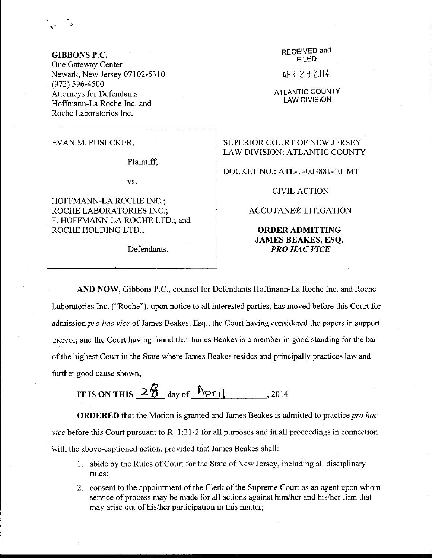GIBBONS P.C. One Gateway Center Newark, New Jersey 07102-5310 (973) s96-4s00 Attomeys for Defendants Hoffmann-La Roche Inc. and Roche Laboratories Inc.

EVANM. PUSECKER,

Plaintiff.

vs.

HOFFMANN-LA ROCHE INC.; ROCHE LABORATORIES INC.; F. HOFFMANN-LA ROCHE LTD.; and ROCHE HOLDING LTD.,

RECEIVED and FILED

APR Z 8 ZU14

ATLANTIC COUNTY LAW DIVISION

## SUPERIOR COURT OF NEW JERSEY LAW DIVISION: ATLANTIC COUNTY

DOCKET NO.: ATL-L-003881-10 MT

CIVIL ACTION

ACCUTANE@ LITIGATION

## ORDERADMITTING JAMES BEAKES, ESQ. Defendants. **PRO HAC VICE**

AND NOW, Gibbons P.C., counsel for Defendants Hoffmann-La Roche Inc. and Roche Laboratories Inc. ("Roche"), upon notice to all interested parties, has moved before this Court for admission pro hac vice of James Beakes, Esq.; the Court having considered the papers in support thereof; and the Court having found that James Beakes is a member in good standing for the bar of the highest Court in the State where James Beakes resides and principally practices law and further good cause shown,

IT IS ON THIS  $2\frac{6}{9}$  day of  $\frac{6}{9}$  r<sub>1</sub> , 2014

**ORDERED** that the Motion is granted and James Beakes is admitted to practice pro hac vice before this Court pursuant to  $R_1$  1:21-2 for all purposes and in all proceedings in connection with the above-captioned action, provided that James Beakes shall:

- 1. abide by the Rules of Court for the State of New Jersey, including all disciplinary rules:
- 2. consent to the appointment of the Clerk of the Supreme Court as an agent upon whom service of process may be made for all actions against him/her and his/her firm that may arise out of his/her participation in this matter;